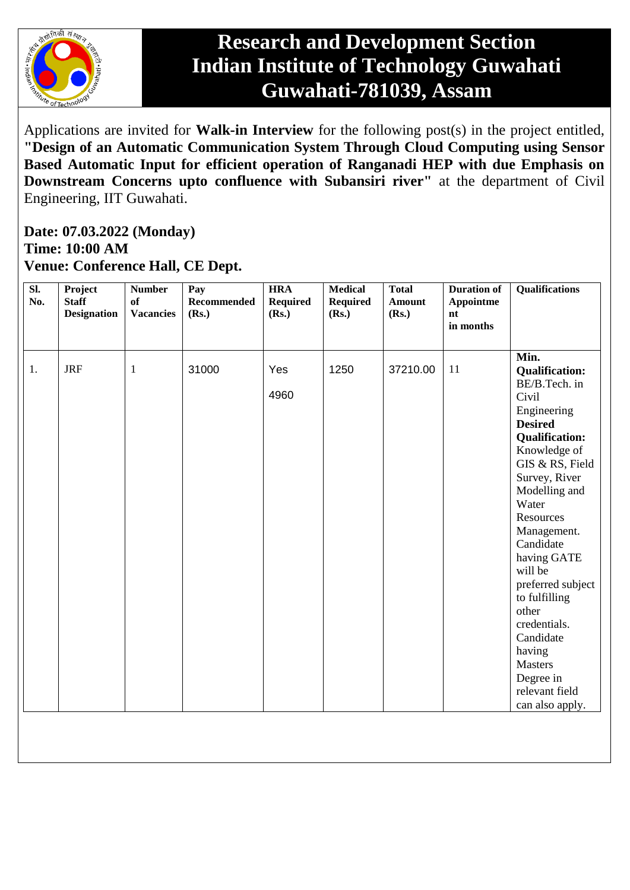

## **Research and Development Section Indian Institute of Technology Guwahati Guwahati-781039, Assam**

Applications are invited for **Walk-in Interview** for the following post(s) in the project entitled, **"Design of an Automatic Communication System Through Cloud Computing using Sensor Based Automatic Input for efficient operation of Ranganadi HEP with due Emphasis on Downstream Concerns upto confluence with Subansiri river"** at the department of Civil Engineering, IIT Guwahati.

## **Date: 07.03.2022 (Monday) Time: 10:00 AM Venue: Conference Hall, CE Dept.**

| Min.<br><b>JRF</b><br>31000<br>Yes<br>1250<br>37210.00<br>11<br>1.<br>$\mathbf{1}$<br><b>Qualification:</b><br>BE/B.Tech. in<br>4960<br>Civil<br>Engineering<br><b>Desired</b><br><b>Qualification:</b><br>Knowledge of<br>GIS & RS, Field<br>Survey, River<br>Modelling and<br>Water<br>Resources<br>Management.<br>Candidate<br>having GATE<br>will be<br>preferred subject<br>to fulfilling<br>other<br>credentials.<br>Candidate<br>having<br>Masters<br>Degree in<br>relevant field<br>can also apply. | $\overline{sl.}$<br>No. | Project<br><b>Staff</b><br><b>Designation</b> | <b>Number</b><br>of<br><b>Vacancies</b> | Pay<br>Recommended<br>(Rs.) | <b>HRA</b><br><b>Required</b><br>(Rs.) | <b>Medical</b><br><b>Required</b><br>(Rs.) | <b>Total</b><br><b>Amount</b><br>(Rs.) | <b>Duration of</b><br>Appointme<br>nt<br>in months | <b>Qualifications</b> |
|-------------------------------------------------------------------------------------------------------------------------------------------------------------------------------------------------------------------------------------------------------------------------------------------------------------------------------------------------------------------------------------------------------------------------------------------------------------------------------------------------------------|-------------------------|-----------------------------------------------|-----------------------------------------|-----------------------------|----------------------------------------|--------------------------------------------|----------------------------------------|----------------------------------------------------|-----------------------|
|                                                                                                                                                                                                                                                                                                                                                                                                                                                                                                             |                         |                                               |                                         |                             |                                        |                                            |                                        |                                                    |                       |